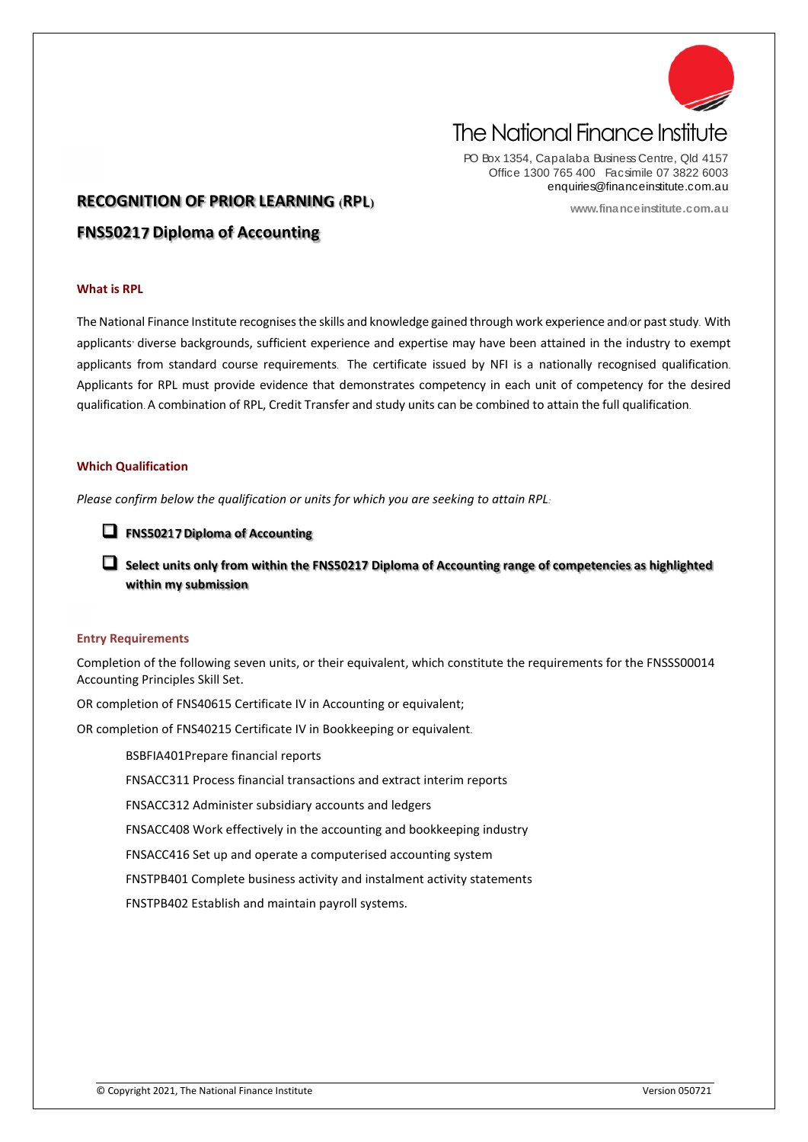

# The National Finance Institute

PO Box 1354, Capalaba Business Centre, Qld 4157 Office 1300 765 400 Facsimile 07 3822 6003 enquiries@financeinstitute.com.au

**www.financeinstitute.com.au**

# **RECOGNITION OF PRIOR LEARNING (RPL)**

**FNS50217 Diploma of Accounting**

### **What is RPL**

The National Finance Institute recognises the skills and knowledge gained through work experience and/or past study. With applicants' diverse backgrounds, sufficient experience and expertise may have been attained in the industry to exempt applicants from standard course requirements. The certificate issued by NFI is a nationally recognised qualification. Applicants for RPL must provide evidence that demonstrates competency in each unit of competency for the desired qualification. A combination of RPL, Credit Transfer and study units can be combined to attain the full qualification.

# **Which Qualification**

*Please confirm below the qualification or units for which you are seeking to attain RPL:*

**FNS50217 Diploma of Accounting**

 **Select units only from within the FNS50217 Diploma of Accounting range of competencies as highlighted within my submission**

### **Entry Requirements**

Completion of the following seven units, or their equivalent, which constitute the requirements for the FNSSS00014 Accounting Principles Skill Set.

OR completion of FNS40615 Certificate IV in Accounting or equivalent;

OR completion of FNS40215 Certificate IV in Bookkeeping or equivalent.

BSBFIA401Prepare financial reports

FNSACC311 Process financial transactions and extract interim reports

FNSACC312 Administer subsidiary accounts and ledgers

FNSACC408 Work effectively in the accounting and bookkeeping industry

FNSACC416 Set up and operate a computerised accounting system

FNSTPB401 Complete business activity and instalment activity statements

FNSTPB402 Establish and maintain payroll systems.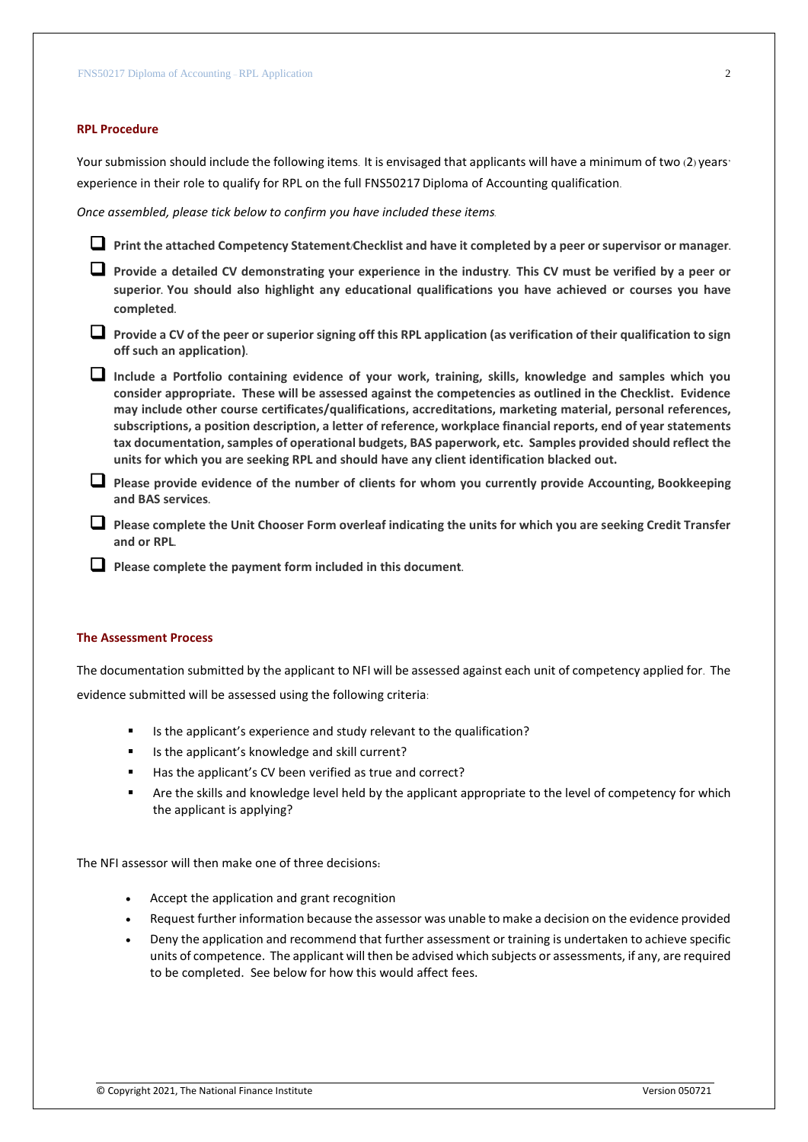#### **RPL Procedure**

Your submission should include the following items. It is envisaged that applicants will have a minimum of two (2) years' experience in their role to qualify for RPL on the full FNS50217 Diploma of Accounting qualification.

*Once assembled, please tick below to confirm you have included these items.*

**Print the attached Competency Statement/Checklist and have it completed by a peer or supervisor or manager.**

- **Provide a detailed CV demonstrating your experience in the industry. This CV must be verified by a peer or superior. You should also highlight any educational qualifications you have achieved or courses you have completed.**
- **Provide a CV of the peer or superior signing off this RPL application (as verification of their qualification to sign off such an application).**
- **Include a Portfolio containing evidence of your work, training, skills, knowledge and samples which you consider appropriate. These will be assessed against the competencies as outlined in the Checklist. Evidence may include other course certificates/qualifications, accreditations, marketing material, personal references, subscriptions, a position description, a letter of reference, workplace financial reports, end of year statements tax documentation, samples of operational budgets, BAS paperwork, etc. Samples provided should reflect the units for which you are seeking RPL and should have any client identification blacked out.**
- **Please provide evidence of the number of clients for whom you currently provide Accounting, Bookkeeping and BAS services.**
- **Please complete the Unit Chooser Form overleaf indicating the units for which you are seeking Credit Transfer and or RPL.**
- **Please complete the payment form included in this document.**

#### **The Assessment Process**

The documentation submitted by the applicant to NFI will be assessed against each unit of competency applied for. The evidence submitted will be assessed using the following criteria:

- Is the applicant's experience and study relevant to the qualification?
- Is the applicant's knowledge and skill current?
- Has the applicant's CV been verified as true and correct?
- Are the skills and knowledge level held by the applicant appropriate to the level of competency for which the applicant is applying?

The NFI assessor will then make one of three decisions**:**

- Accept the application and grant recognition
- Request further information because the assessor was unable to make a decision on the evidence provided
- Deny the application and recommend that further assessment or training is undertaken to achieve specific units of competence. The applicant will then be advised which subjects or assessments, if any, are required to be completed. See below for how this would affect fees.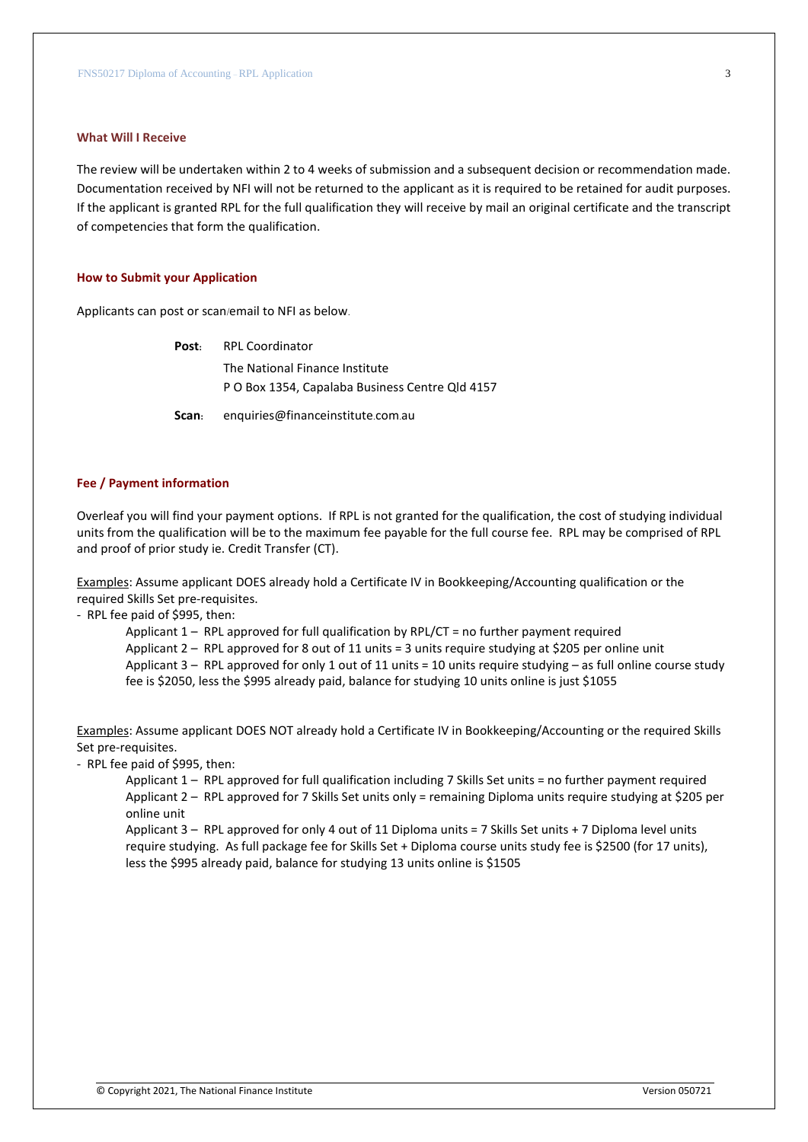#### **What Will I Receive**

The review will be undertaken within 2 to 4 weeks of submission and a subsequent decision or recommendation made. Documentation received by NFI will not be returned to the applicant as it is required to be retained for audit purposes. If the applicant is granted RPL for the full qualification they will receive by mail an original certificate and the transcript of competencies that form the qualification.

#### **How to Submit your Application**

Applicants can post or scan/email to NFI as below.

|       | <b>Post:</b> RPL Coordinator                    |
|-------|-------------------------------------------------|
|       | The National Finance Institute                  |
|       | P O Box 1354, Capalaba Business Centre Qld 4157 |
| Scan: | enquiries@financeinstitute.com.au               |

#### **Fee / Payment information**

Overleaf you will find your payment options. If RPL is not granted for the qualification, the cost of studying individual units from the qualification will be to the maximum fee payable for the full course fee. RPL may be comprised of RPL and proof of prior study ie. Credit Transfer (CT).

Examples: Assume applicant DOES already hold a Certificate IV in Bookkeeping/Accounting qualification or the required Skills Set pre-requisites.

- RPL fee paid of \$995, then:

Applicant 1 – RPL approved for full qualification by RPL/CT = no further payment required Applicant 2 – RPL approved for 8 out of 11 units = 3 units require studying at \$205 per online unit Applicant 3 – RPL approved for only 1 out of 11 units = 10 units require studying – as full online course study fee is \$2050, less the \$995 already paid, balance for studying 10 units online is just \$1055

Examples: Assume applicant DOES NOT already hold a Certificate IV in Bookkeeping/Accounting or the required Skills Set pre-requisites.

- RPL fee paid of \$995, then:

Applicant 1 – RPL approved for full qualification including 7 Skills Set units = no further payment required Applicant 2 – RPL approved for 7 Skills Set units only = remaining Diploma units require studying at \$205 per online unit

Applicant 3 – RPL approved for only 4 out of 11 Diploma units = 7 Skills Set units + 7 Diploma level units require studying. As full package fee for Skills Set + Diploma course units study fee is \$2500 (for 17 units), less the \$995 already paid, balance for studying 13 units online is \$1505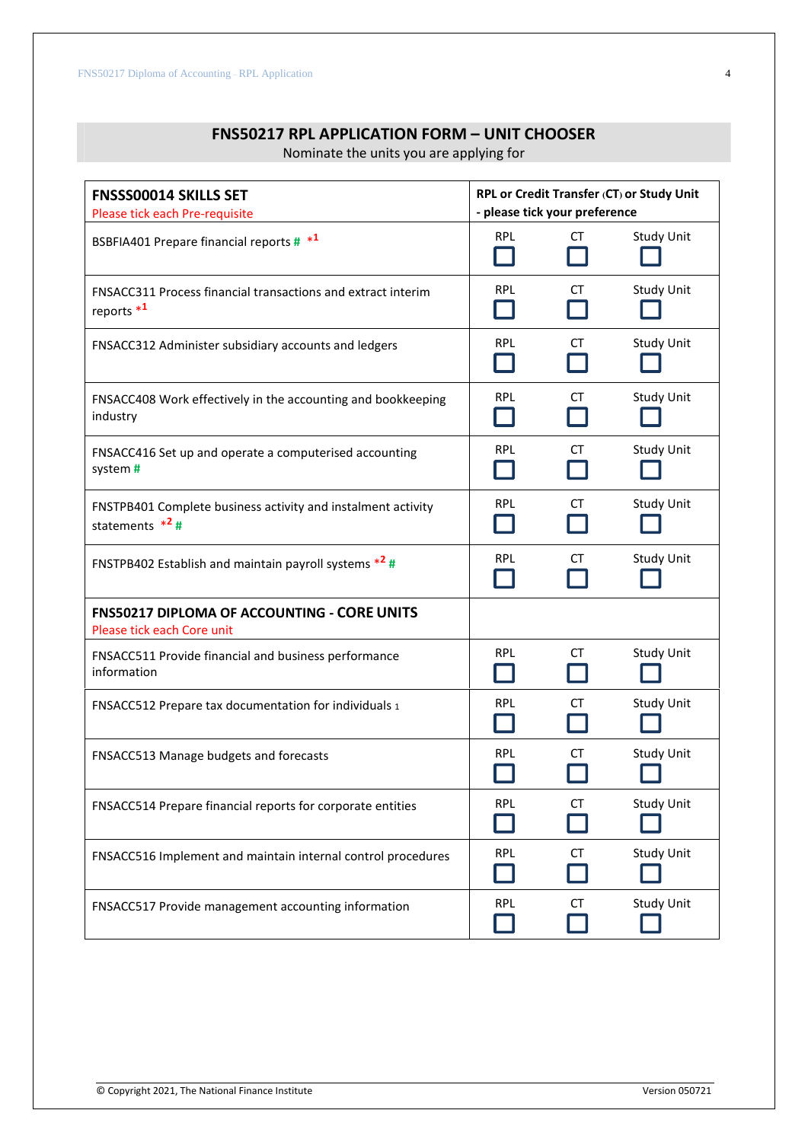Nominate the units you are applying for

| <b>FNSSS00014 SKILLS SET</b><br>Please tick each Pre-requisite                        | RPL or Credit Transfer (CT) or Study Unit<br>- please tick your preference |           |                   |
|---------------------------------------------------------------------------------------|----------------------------------------------------------------------------|-----------|-------------------|
| BSBFIA401 Prepare financial reports # *1                                              | <b>RPL</b><br>$\sim$                                                       | СT        | <b>Study Unit</b> |
| FNSACC311 Process financial transactions and extract interim<br>reports <sup>*1</sup> | <b>RPL</b>                                                                 | СT        | <b>Study Unit</b> |
| FNSACC312 Administer subsidiary accounts and ledgers                                  | <b>RPL</b>                                                                 | СT        | <b>Study Unit</b> |
| FNSACC408 Work effectively in the accounting and bookkeeping<br>industry              | <b>RPL</b>                                                                 | СT        | <b>Study Unit</b> |
| FNSACC416 Set up and operate a computerised accounting<br>system #                    | <b>RPL</b>                                                                 | СT        | Study Unit        |
| FNSTPB401 Complete business activity and instalment activity<br>statements $*^2$ #    | <b>RPL</b>                                                                 | СT        | <b>Study Unit</b> |
| FNSTPB402 Establish and maintain payroll systems *2 #                                 | <b>RPL</b>                                                                 | <b>CT</b> | <b>Study Unit</b> |
| <b>FNS50217 DIPLOMA OF ACCOUNTING - CORE UNITS</b><br>Please tick each Core unit      |                                                                            |           |                   |
| FNSACC511 Provide financial and business performance<br>information                   | <b>RPL</b>                                                                 | СT        | <b>Study Unit</b> |
| FNSACC512 Prepare tax documentation for individuals 1                                 | <b>RPL</b>                                                                 | СT        | <b>Study Unit</b> |
| FNSACC513 Manage budgets and forecasts                                                | <b>RPL</b>                                                                 | СT        | <b>Study Unit</b> |
| FNSACC514 Prepare financial reports for corporate entities                            | <b>RPL</b>                                                                 | CT        | <b>Study Unit</b> |
| FNSACC516 Implement and maintain internal control procedures                          | <b>RPL</b>                                                                 | CT        | <b>Study Unit</b> |
| FNSACC517 Provide management accounting information                                   | <b>RPL</b>                                                                 | СT        | <b>Study Unit</b> |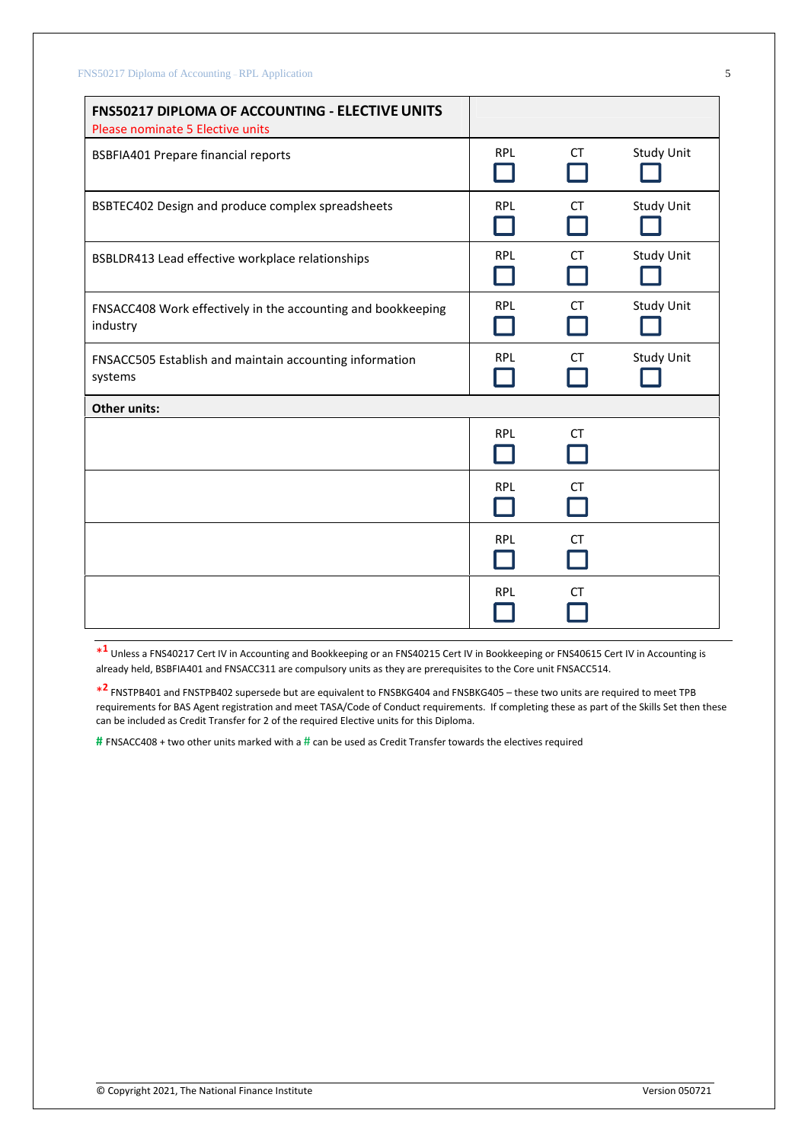| FNS50217 DIPLOMA OF ACCOUNTING - ELECTIVE UNITS<br>Please nominate 5 Elective units |            |           |                   |
|-------------------------------------------------------------------------------------|------------|-----------|-------------------|
| <b>BSBFIA401 Prepare financial reports</b>                                          | <b>RPL</b> | <b>CT</b> | <b>Study Unit</b> |
| BSBTEC402 Design and produce complex spreadsheets                                   | <b>RPL</b> | <b>CT</b> | <b>Study Unit</b> |
| BSBLDR413 Lead effective workplace relationships                                    | <b>RPL</b> | <b>CT</b> | <b>Study Unit</b> |
| FNSACC408 Work effectively in the accounting and bookkeeping<br>industry            | <b>RPL</b> | <b>CT</b> | <b>Study Unit</b> |
| FNSACC505 Establish and maintain accounting information<br>systems                  | <b>RPL</b> | <b>CT</b> | <b>Study Unit</b> |
| <b>Other units:</b>                                                                 |            |           |                   |
|                                                                                     | <b>RPL</b> | <b>CT</b> |                   |
|                                                                                     | <b>RPL</b> | <b>CT</b> |                   |
|                                                                                     | <b>RPL</b> | <b>CT</b> |                   |
|                                                                                     | <b>RPL</b> | СT        |                   |

\* **1** Unless a FNS40217 Cert IV in Accounting and Bookkeeping or an FNS40215 Cert IV in Bookkeeping or FNS40615 Cert IV in Accounting is already held, BSBFIA401 and FNSACC311 are compulsory units as they are prerequisites to the Core unit FNSACC514.

\* **2** FNSTPB401 and FNSTPB402 supersede but are equivalent to FNSBKG404 and FNSBKG405 – these two units are required to meet TPB requirements for BAS Agent registration and meet TASA/Code of Conduct requirements. If completing these as part of the Skills Set then these can be included as Credit Transfer for 2 of the required Elective units for this Diploma.

**#** FNSACC408 + two other units marked with a # can be used as Credit Transfer towards the electives required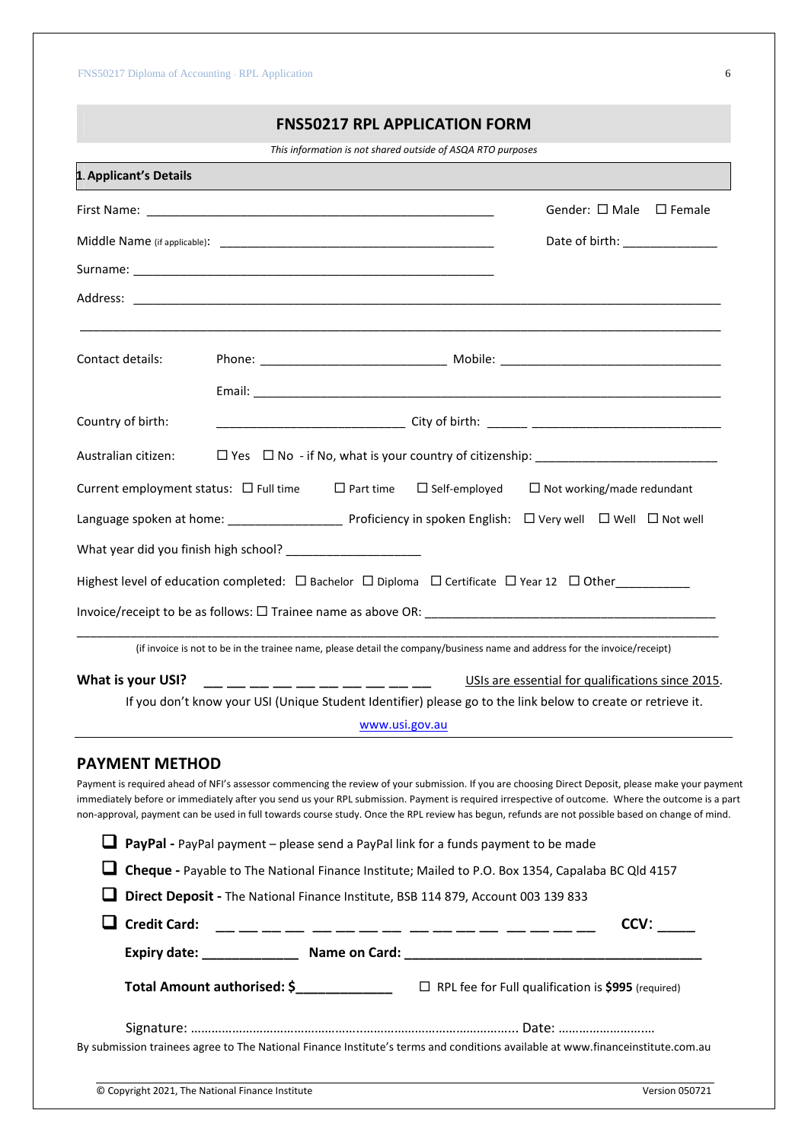# **FNS50217 RPL APPLICATION FORM**

*This information is not shared outside of ASQA RTO purposes*

| 1. Applicant's Details                                             |                                                                                                                                                                                                                                                                                                                                                                                                                                                             |
|--------------------------------------------------------------------|-------------------------------------------------------------------------------------------------------------------------------------------------------------------------------------------------------------------------------------------------------------------------------------------------------------------------------------------------------------------------------------------------------------------------------------------------------------|
|                                                                    | Gender: □ Male □ Female                                                                                                                                                                                                                                                                                                                                                                                                                                     |
|                                                                    | Date of birth: ______________                                                                                                                                                                                                                                                                                                                                                                                                                               |
|                                                                    |                                                                                                                                                                                                                                                                                                                                                                                                                                                             |
| Address:                                                           |                                                                                                                                                                                                                                                                                                                                                                                                                                                             |
| Contact details:                                                   |                                                                                                                                                                                                                                                                                                                                                                                                                                                             |
|                                                                    |                                                                                                                                                                                                                                                                                                                                                                                                                                                             |
| Country of birth:                                                  |                                                                                                                                                                                                                                                                                                                                                                                                                                                             |
| Australian citizen:                                                |                                                                                                                                                                                                                                                                                                                                                                                                                                                             |
| Current employment status: $\square$ Full time $\square$ Part time | $\Box$ Self-employed<br>$\Box$ Not working/made redundant                                                                                                                                                                                                                                                                                                                                                                                                   |
|                                                                    |                                                                                                                                                                                                                                                                                                                                                                                                                                                             |
|                                                                    |                                                                                                                                                                                                                                                                                                                                                                                                                                                             |
|                                                                    | Highest level of education completed: $\Box$ Bachelor $\Box$ Diploma $\Box$ Certificate $\Box$ Year 12 $\Box$ Other                                                                                                                                                                                                                                                                                                                                         |
|                                                                    |                                                                                                                                                                                                                                                                                                                                                                                                                                                             |
|                                                                    | (if invoice is not to be in the trainee name, please detail the company/business name and address for the invoice/receipt)                                                                                                                                                                                                                                                                                                                                  |
| What is your USI?                                                  | USIs are essential for qualifications since 2015.<br>__ __ __ __ __ __ __ __ __ __ __                                                                                                                                                                                                                                                                                                                                                                       |
|                                                                    | If you don't know your USI (Unique Student Identifier) please go to the link below to create or retrieve it.                                                                                                                                                                                                                                                                                                                                                |
|                                                                    | www.usi.gov.au                                                                                                                                                                                                                                                                                                                                                                                                                                              |
| <b>PAYMENT METHOD</b>                                              |                                                                                                                                                                                                                                                                                                                                                                                                                                                             |
|                                                                    | Payment is required ahead of NFI's assessor commencing the review of your submission. If you are choosing Direct Deposit, please make your payment<br>immediately before or immediately after you send us your RPL submission. Payment is required irrespective of outcome. Where the outcome is a part<br>non-approval, payment can be used in full towards course study. Once the RPL review has begun, refunds are not possible based on change of mind. |
|                                                                    | <b>L</b> PayPal - PayPal payment – please send a PayPal link for a funds payment to be made                                                                                                                                                                                                                                                                                                                                                                 |
|                                                                    | Cheque - Payable to The National Finance Institute; Mailed to P.O. Box 1354, Capalaba BC Qld 4157                                                                                                                                                                                                                                                                                                                                                           |
|                                                                    | Direct Deposit - The National Finance Institute, BSB 114 879, Account 003 139 833                                                                                                                                                                                                                                                                                                                                                                           |
| <b>Credit Card:</b>                                                | CCV:<br>__________________                                                                                                                                                                                                                                                                                                                                                                                                                                  |
|                                                                    |                                                                                                                                                                                                                                                                                                                                                                                                                                                             |
|                                                                    | Total Amount authorised: \$_______________ □ RPL fee for Full qualification is \$995 (required)                                                                                                                                                                                                                                                                                                                                                             |
|                                                                    |                                                                                                                                                                                                                                                                                                                                                                                                                                                             |
|                                                                    | By submission trainees agree to The National Finance Institute's terms and conditions available at www.financeinstitute.com.au                                                                                                                                                                                                                                                                                                                              |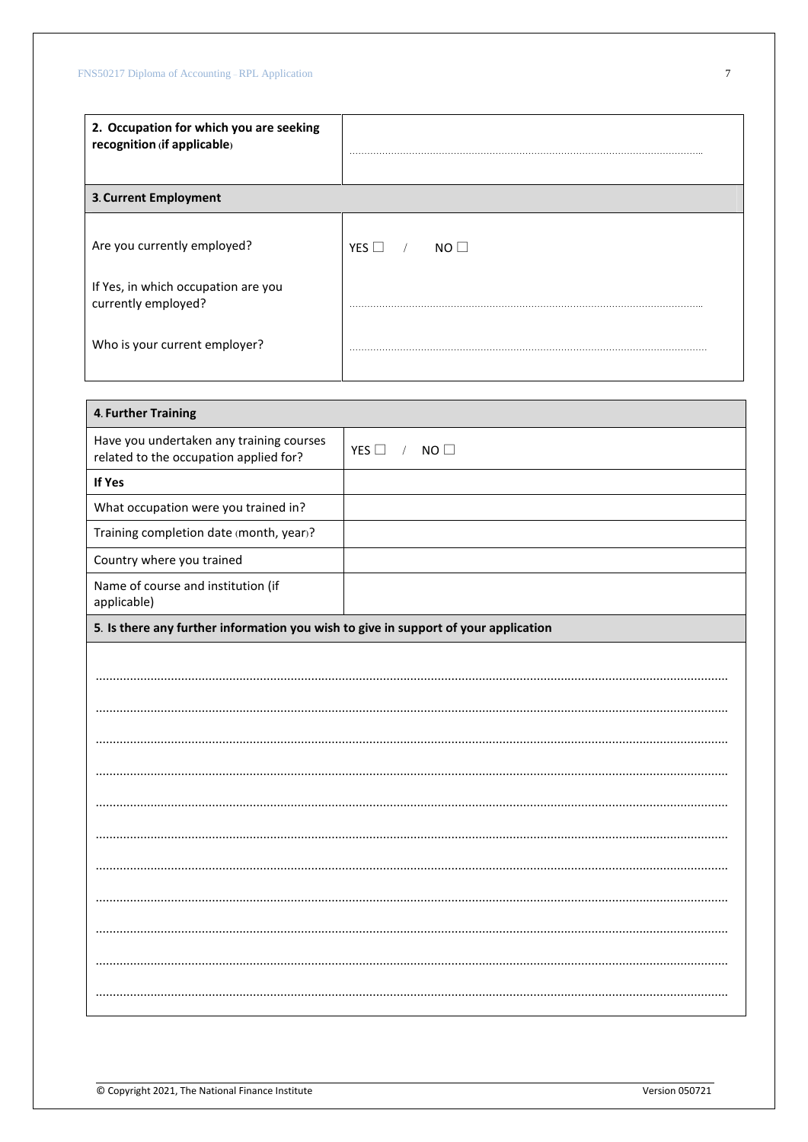| 2. Occupation for which you are seeking<br>recognition (if applicable) |                                 |
|------------------------------------------------------------------------|---------------------------------|
| 3. Current Employment                                                  |                                 |
| Are you currently employed?                                            | YES $\Box$ /<br>NO <sub>1</sub> |
| If Yes, in which occupation are you<br>currently employed?             |                                 |
| Who is your current employer?                                          |                                 |

| 4. Further Training                                                                 |                                   |
|-------------------------------------------------------------------------------------|-----------------------------------|
| Have you undertaken any training courses<br>related to the occupation applied for?  | NO<br>YES $\square$<br>$\sqrt{2}$ |
| If Yes                                                                              |                                   |
| What occupation were you trained in?                                                |                                   |
| Training completion date (month, year)?                                             |                                   |
| Country where you trained                                                           |                                   |
| Name of course and institution (if<br>applicable)                                   |                                   |
| 5. Is there any further information you wish to give in support of your application |                                   |
|                                                                                     |                                   |
|                                                                                     |                                   |
|                                                                                     |                                   |
|                                                                                     |                                   |
|                                                                                     |                                   |
|                                                                                     |                                   |
|                                                                                     |                                   |
|                                                                                     |                                   |
|                                                                                     |                                   |
|                                                                                     |                                   |
|                                                                                     |                                   |
|                                                                                     |                                   |
|                                                                                     |                                   |

 $\boldsymbol{7}$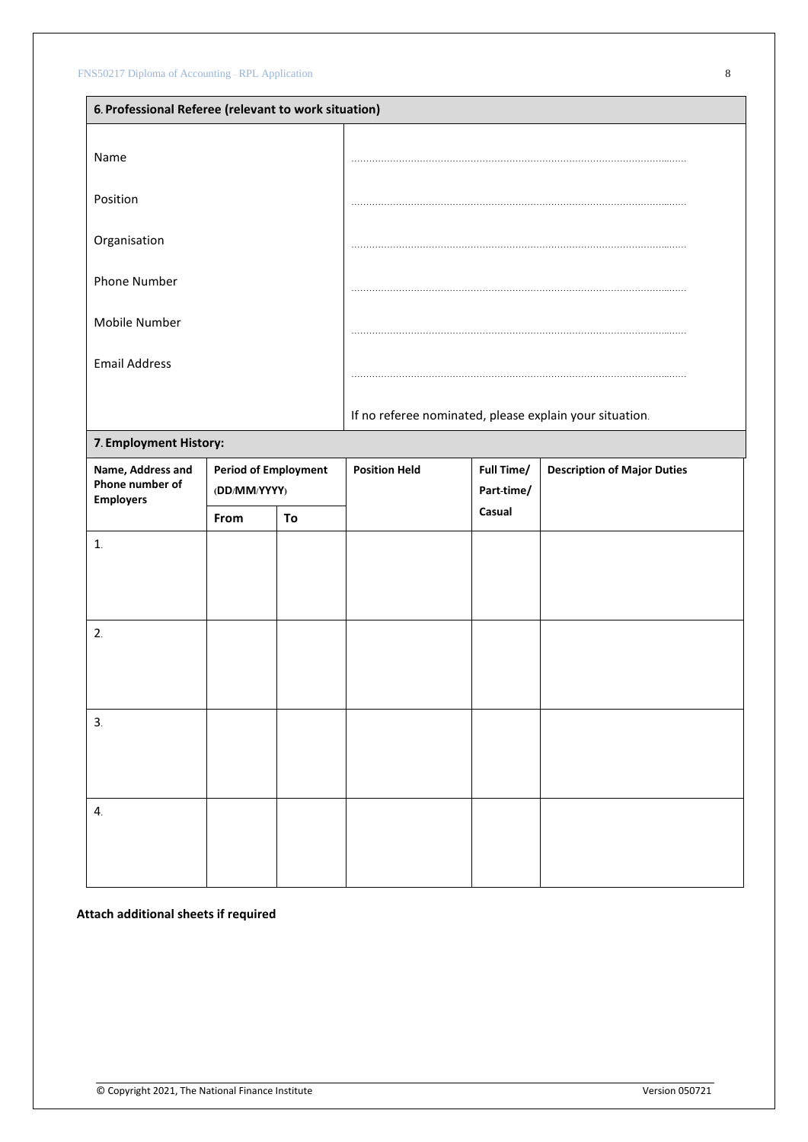|                                                          | 6. Professional Referee (relevant to work situation)                                               |    |                      |                          |                                                         |  |  |  |
|----------------------------------------------------------|----------------------------------------------------------------------------------------------------|----|----------------------|--------------------------|---------------------------------------------------------|--|--|--|
| Name                                                     |                                                                                                    |    |                      |                          |                                                         |  |  |  |
| Position                                                 |                                                                                                    |    |                      |                          |                                                         |  |  |  |
| Organisation                                             |                                                                                                    |    |                      |                          |                                                         |  |  |  |
| <b>Phone Number</b>                                      |                                                                                                    |    |                      |                          |                                                         |  |  |  |
| Mobile Number                                            |                                                                                                    |    |                      |                          |                                                         |  |  |  |
| <b>Email Address</b>                                     |                                                                                                    |    |                      |                          |                                                         |  |  |  |
|                                                          |                                                                                                    |    |                      |                          | If no referee nominated, please explain your situation. |  |  |  |
| 7. Employment History:                                   |                                                                                                    |    |                      |                          |                                                         |  |  |  |
| Name, Address and<br>Phone number of<br><b>Employers</b> | <b>Period of Employment</b><br>$(\boldsymbol{DD}/\boldsymbol{MM}/\boldsymbol{YY} \boldsymbol{YY})$ |    | <b>Position Held</b> | Full Time/<br>Part-time/ | <b>Description of Major Duties</b>                      |  |  |  |
|                                                          | From                                                                                               | To |                      | Casual                   |                                                         |  |  |  |
| 1.                                                       |                                                                                                    |    |                      |                          |                                                         |  |  |  |
| 2.                                                       |                                                                                                    |    |                      |                          |                                                         |  |  |  |
| 3.                                                       |                                                                                                    |    |                      |                          |                                                         |  |  |  |
| $\mathbf{4}$                                             |                                                                                                    |    |                      |                          |                                                         |  |  |  |

**Attach additional sheets if required**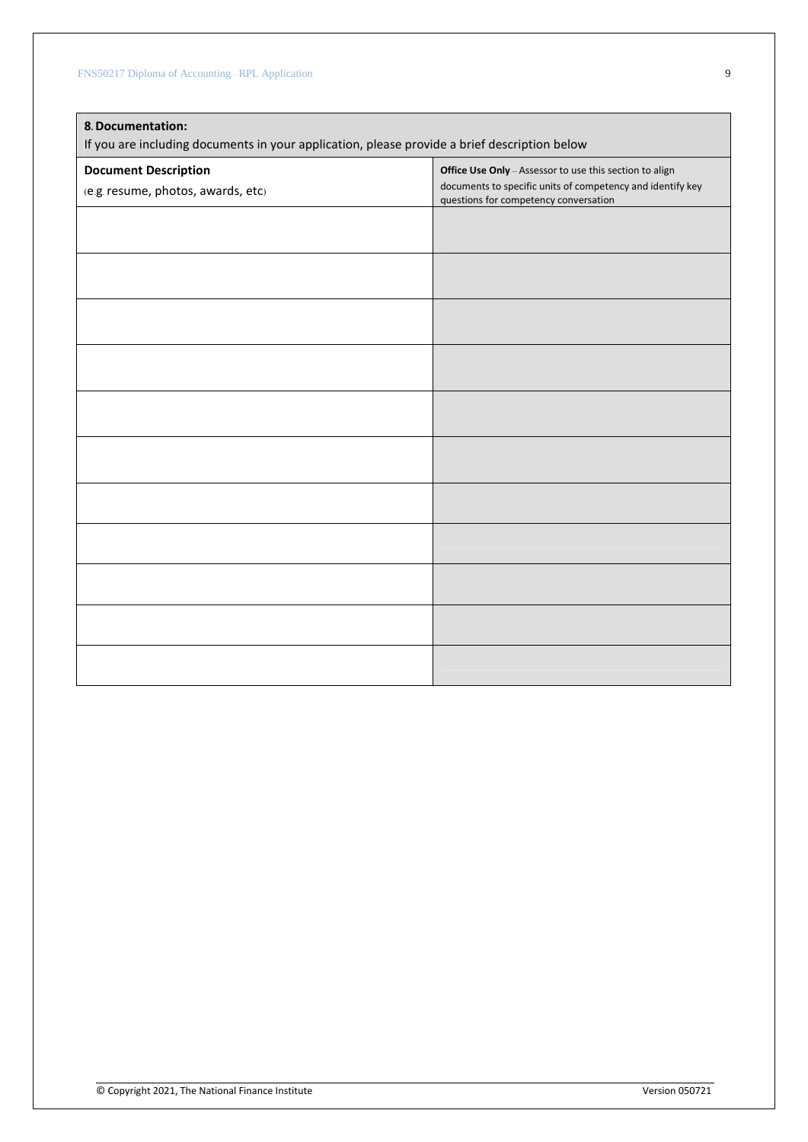| 8. Documentation:<br>If you are including documents in your application, please provide a brief description below |                                                                                                     |  |  |  |  |
|-------------------------------------------------------------------------------------------------------------------|-----------------------------------------------------------------------------------------------------|--|--|--|--|
| <b>Document Description</b>                                                                                       | Office Use Only - Assessor to use this section to align                                             |  |  |  |  |
| (e.g. resume, photos, awards, etc)                                                                                | documents to specific units of competency and identify key<br>questions for competency conversation |  |  |  |  |
|                                                                                                                   |                                                                                                     |  |  |  |  |
|                                                                                                                   |                                                                                                     |  |  |  |  |
|                                                                                                                   |                                                                                                     |  |  |  |  |
|                                                                                                                   |                                                                                                     |  |  |  |  |
|                                                                                                                   |                                                                                                     |  |  |  |  |
|                                                                                                                   |                                                                                                     |  |  |  |  |
|                                                                                                                   |                                                                                                     |  |  |  |  |
|                                                                                                                   |                                                                                                     |  |  |  |  |
|                                                                                                                   |                                                                                                     |  |  |  |  |
|                                                                                                                   |                                                                                                     |  |  |  |  |
|                                                                                                                   |                                                                                                     |  |  |  |  |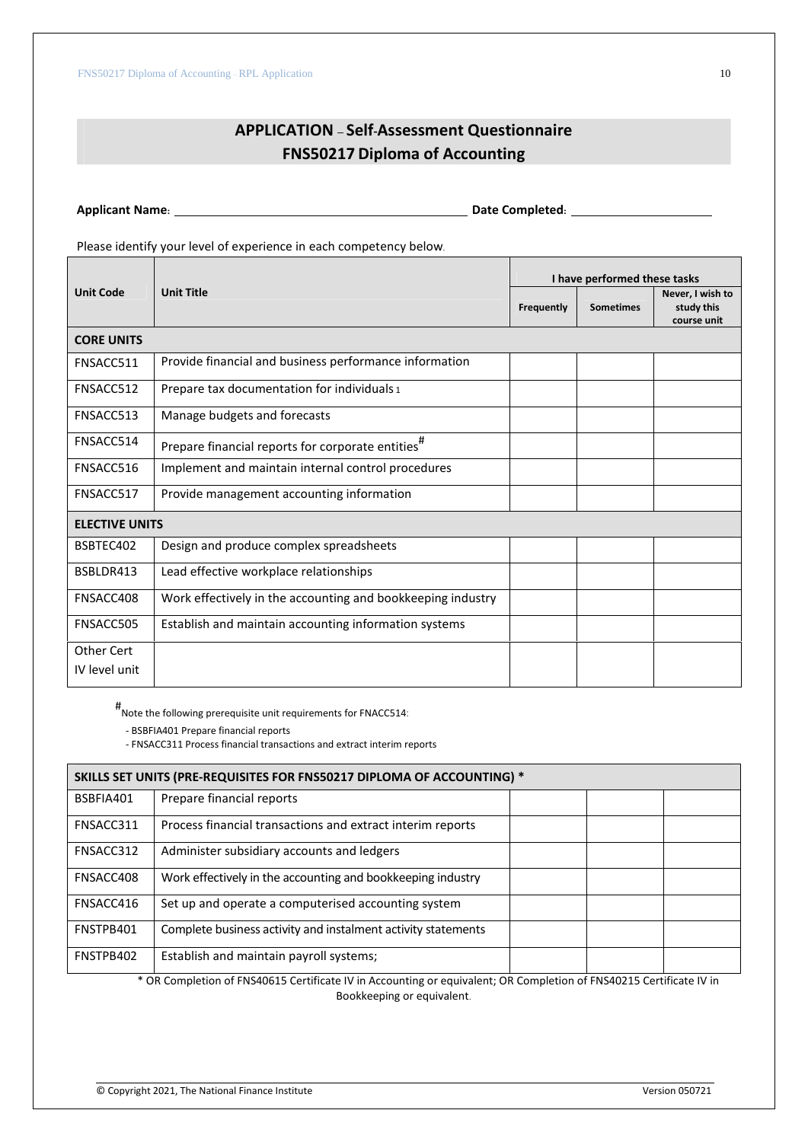# **APPLICATION – Self-Assessment Questionnaire FNS50217 Diploma of Accounting**

**Applicant Name: Date Completed:**

Please identify your level of experience in each competency below.

|                       |                                                               | I have performed these tasks |                  |                                               |  |
|-----------------------|---------------------------------------------------------------|------------------------------|------------------|-----------------------------------------------|--|
| <b>Unit Code</b>      | <b>Unit Title</b>                                             | Frequently                   | <b>Sometimes</b> | Never, I wish to<br>study this<br>course unit |  |
| <b>CORE UNITS</b>     |                                                               |                              |                  |                                               |  |
| FNSACC511             | Provide financial and business performance information        |                              |                  |                                               |  |
| FNSACC512             | Prepare tax documentation for individuals 1                   |                              |                  |                                               |  |
| FNSACC513             | Manage budgets and forecasts                                  |                              |                  |                                               |  |
| FNSACC514             | Prepare financial reports for corporate entities <sup>#</sup> |                              |                  |                                               |  |
| FNSACC516             | Implement and maintain internal control procedures            |                              |                  |                                               |  |
| FNSACC517             | Provide management accounting information                     |                              |                  |                                               |  |
| <b>ELECTIVE UNITS</b> |                                                               |                              |                  |                                               |  |
| BSBTEC402             | Design and produce complex spreadsheets                       |                              |                  |                                               |  |
| BSBLDR413             | Lead effective workplace relationships                        |                              |                  |                                               |  |
| FNSACC408             | Work effectively in the accounting and bookkeeping industry   |                              |                  |                                               |  |
| FNSACC505             | Establish and maintain accounting information systems         |                              |                  |                                               |  |
| Other Cert            |                                                               |                              |                  |                                               |  |
| IV level unit         |                                                               |                              |                  |                                               |  |

# Note the following prerequisite unit requirements for FNACC514:

- BSBFIA401 Prepare financial reports

- FNSACC311 Process financial transactions and extract interim reports

| SKILLS SET UNITS (PRE-REQUISITES FOR FNS50217 DIPLOMA OF ACCOUNTING) * |                                                               |  |  |  |
|------------------------------------------------------------------------|---------------------------------------------------------------|--|--|--|
| BSBFIA401                                                              | Prepare financial reports                                     |  |  |  |
| FNSACC311                                                              | Process financial transactions and extract interim reports    |  |  |  |
| FNSACC312                                                              | Administer subsidiary accounts and ledgers                    |  |  |  |
| FNSACC408                                                              | Work effectively in the accounting and bookkeeping industry   |  |  |  |
| FNSACC416                                                              | Set up and operate a computerised accounting system           |  |  |  |
| FNSTPB401                                                              | Complete business activity and instalment activity statements |  |  |  |
| FNSTPB402                                                              | Establish and maintain payroll systems;                       |  |  |  |

\* OR Completion of FNS40615 Certificate IV in Accounting or equivalent; OR Completion of FNS40215 Certificate IV in Bookkeeping or equivalent.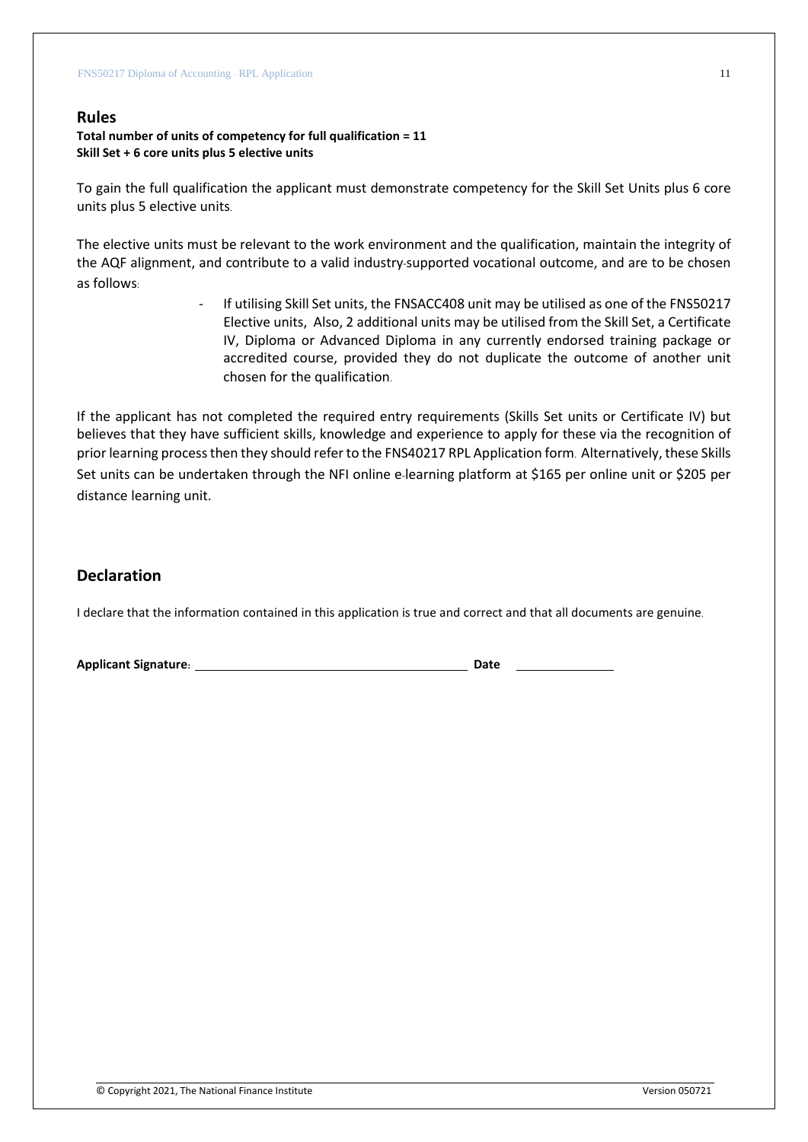### **Rules**

#### **Total number of units of competency for full qualification = 11 Skill Set + 6 core units plus 5 elective units**

To gain the full qualification the applicant must demonstrate competency for the Skill Set Units plus 6 core units plus 5 elective units.

The elective units must be relevant to the work environment and the qualification, maintain the integrity of the AQF alignment, and contribute to a valid industry-supported vocational outcome, and are to be chosen as follows:

> If utilising Skill Set units, the FNSACC408 unit may be utilised as one of the FNS50217 Elective units, Also, 2 additional units may be utilised from the Skill Set, a Certificate IV, Diploma or Advanced Diploma in any currently endorsed training package or accredited course, provided they do not duplicate the outcome of another unit chosen for the qualification.

If the applicant has not completed the required entry requirements (Skills Set units or Certificate IV) but believes that they have sufficient skills, knowledge and experience to apply for these via the recognition of prior learning process then they should refer to the FNS40217 RPL Application form. Alternatively, these Skills Set units can be undertaken through the NFI online e-learning platform at \$165 per online unit or \$205 per distance learning unit.

# **Declaration**

I declare that the information contained in this application is true and correct and that all documents are genuine.

**Applicant Signature: Date**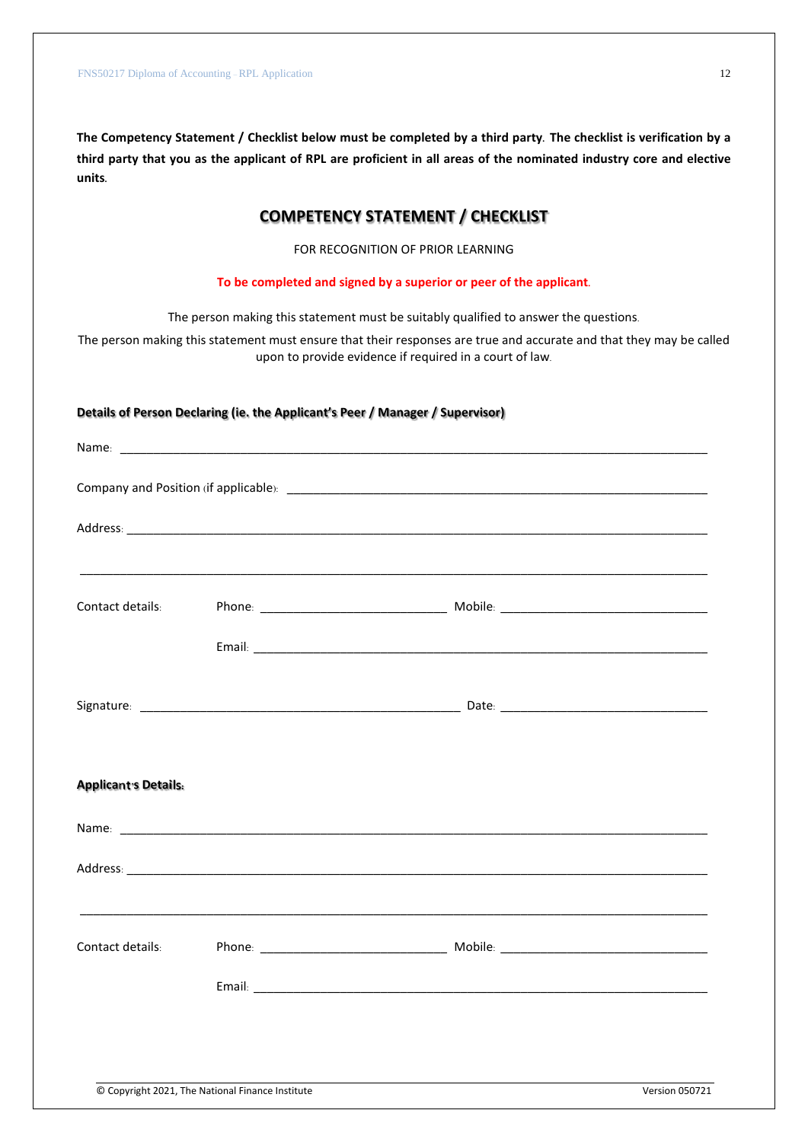**The Competency Statement / Checklist below must be completed by a third party. The checklist is verification by a third party that you as the applicant of RPL are proficient in all areas of the nominated industry core and elective units.**

# **COMPETENCY STATEMENT / CHECKLIST**

FOR RECOGNITION OF PRIOR LEARNING

**To be completed and signed by a superior or peer of the applicant.**

The person making this statement must be suitably qualified to answer the questions.

The person making this statement must ensure that their responses are true and accurate and that they may be called upon to provide evidence if required in a court of law.

#### **Details of Person Declaring (ie. the Applicant's Peer / Manager / Supervisor)**

| Contact details:            |  |  |
|-----------------------------|--|--|
|                             |  |  |
|                             |  |  |
|                             |  |  |
| <b>Applicant's Details:</b> |  |  |
|                             |  |  |
|                             |  |  |
|                             |  |  |
| Contact details:            |  |  |
|                             |  |  |
|                             |  |  |
|                             |  |  |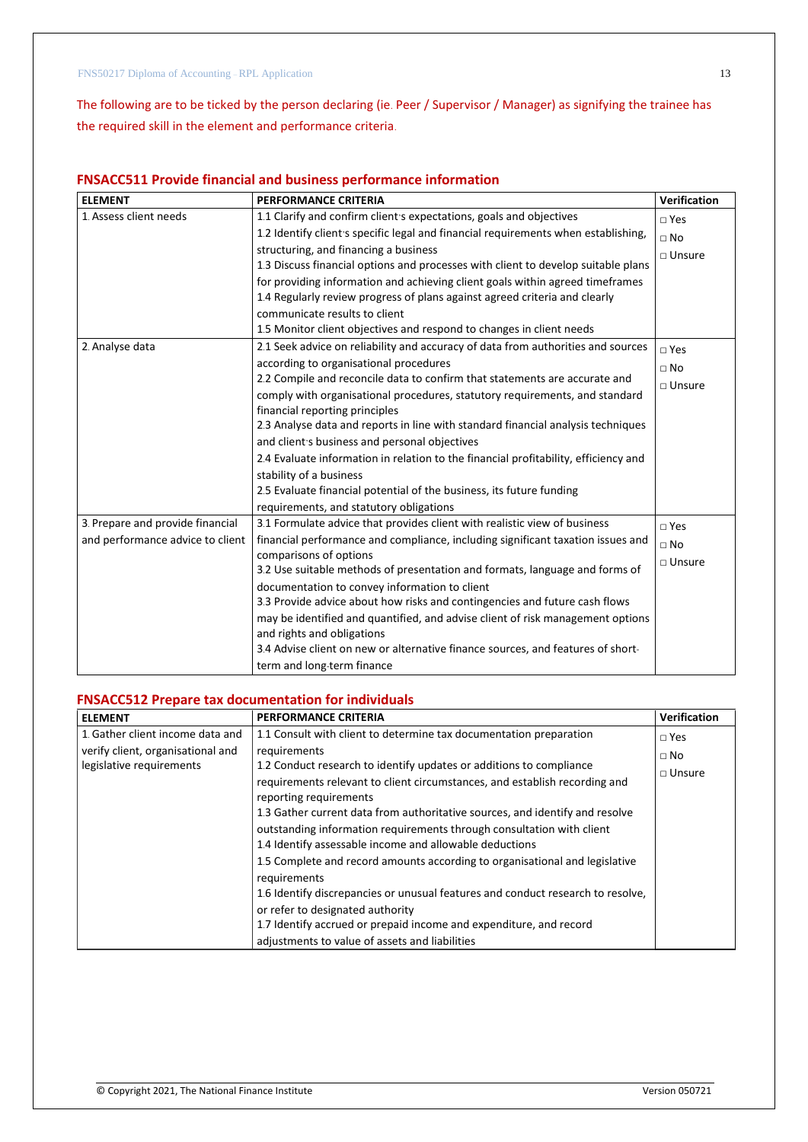The following are to be ticked by the person declaring (ie. Peer / Supervisor / Manager) as signifying the trainee has the required skill in the element and performance criteria.

### **FNSACC511 Provide financial and business performance information**

| <b>ELEMENT</b>                   | <b>PERFORMANCE CRITERIA</b>                                                         | Verification  |
|----------------------------------|-------------------------------------------------------------------------------------|---------------|
| 1. Assess client needs           | 1.1 Clarify and confirm client's expectations, goals and objectives                 | $\sqcap$ Yes  |
|                                  | 1.2 Identify client s specific legal and financial requirements when establishing,  | $\Box$ No     |
|                                  | structuring, and financing a business                                               | $\Box$ Unsure |
|                                  | 1.3 Discuss financial options and processes with client to develop suitable plans   |               |
|                                  | for providing information and achieving client goals within agreed timeframes       |               |
|                                  | 1.4 Regularly review progress of plans against agreed criteria and clearly          |               |
|                                  | communicate results to client                                                       |               |
|                                  | 1.5 Monitor client objectives and respond to changes in client needs                |               |
| 2. Analyse data                  | 2.1 Seek advice on reliability and accuracy of data from authorities and sources    | $\sqcap$ Yes  |
|                                  | according to organisational procedures                                              | $\Box$ No     |
|                                  | 2.2 Compile and reconcile data to confirm that statements are accurate and          | $\Box$ Unsure |
|                                  | comply with organisational procedures, statutory requirements, and standard         |               |
|                                  | financial reporting principles                                                      |               |
|                                  | 2.3 Analyse data and reports in line with standard financial analysis techniques    |               |
|                                  | and client's business and personal objectives                                       |               |
|                                  | 2.4 Evaluate information in relation to the financial profitability, efficiency and |               |
|                                  | stability of a business                                                             |               |
|                                  | 2.5 Evaluate financial potential of the business, its future funding                |               |
|                                  | requirements, and statutory obligations                                             |               |
| 3. Prepare and provide financial | 3.1 Formulate advice that provides client with realistic view of business           | $\square$ Yes |
| and performance advice to client | financial performance and compliance, including significant taxation issues and     | $\Box$ No     |
|                                  | comparisons of options                                                              | $\Box$ Unsure |
|                                  | 3.2 Use suitable methods of presentation and formats, language and forms of         |               |
|                                  | documentation to convey information to client                                       |               |
|                                  | 3.3 Provide advice about how risks and contingencies and future cash flows          |               |
|                                  | may be identified and quantified, and advise client of risk management options      |               |
|                                  | and rights and obligations                                                          |               |
|                                  | 3.4 Advise client on new or alternative finance sources, and features of short-     |               |
|                                  | term and long-term finance                                                          |               |

### **FNSACC512 Prepare tax documentation for individuals**

| <b>ELEMENT</b>                    | <b>PERFORMANCE CRITERIA</b>                                                                                                      | <b>Verification</b> |
|-----------------------------------|----------------------------------------------------------------------------------------------------------------------------------|---------------------|
| 1. Gather client income data and  | 1.1 Consult with client to determine tax documentation preparation                                                               | $\Box$ Yes          |
| verify client, organisational and | requirements                                                                                                                     | $\Box$ No           |
| legislative requirements          | 1.2 Conduct research to identify updates or additions to compliance                                                              | $\Box$ Unsure       |
|                                   | requirements relevant to client circumstances, and establish recording and<br>reporting requirements                             |                     |
|                                   | 1.3 Gather current data from authoritative sources, and identify and resolve                                                     |                     |
|                                   | outstanding information requirements through consultation with client<br>1.4 Identify assessable income and allowable deductions |                     |
|                                   | 1.5 Complete and record amounts according to organisational and legislative<br>requirements                                      |                     |
|                                   | 1.6 Identify discrepancies or unusual features and conduct research to resolve,                                                  |                     |
|                                   | or refer to designated authority                                                                                                 |                     |
|                                   | 1.7 Identify accrued or prepaid income and expenditure, and record                                                               |                     |
|                                   | adjustments to value of assets and liabilities                                                                                   |                     |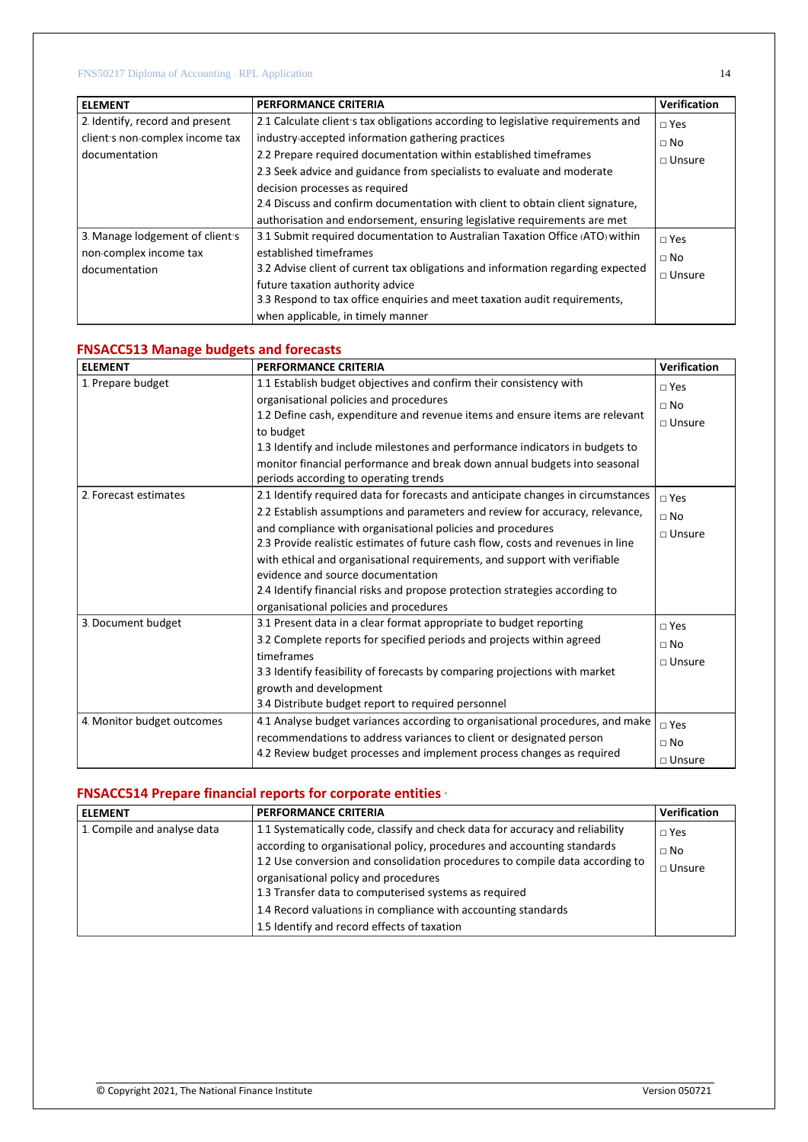| <b>ELEMENT</b>                  | <b>PERFORMANCE CRITERIA</b>                                                      | <b>Verification</b> |
|---------------------------------|----------------------------------------------------------------------------------|---------------------|
| 2. Identify, record and present | 2.1 Calculate client's tax obligations according to legislative requirements and | $\Box$ Yes          |
| client's non-complex income tax | industry-accepted information gathering practices                                | $\Box$ No           |
| documentation                   | 2.2 Prepare required documentation within established timeframes                 | $\Box$ Unsure       |
|                                 | 2.3 Seek advice and guidance from specialists to evaluate and moderate           |                     |
|                                 | decision processes as required                                                   |                     |
|                                 | 2.4 Discuss and confirm documentation with client to obtain client signature,    |                     |
|                                 | authorisation and endorsement, ensuring legislative requirements are met         |                     |
| 3. Manage lodgement of client's | 3.1 Submit required documentation to Australian Taxation Office (ATO) within     | $\Box$ Yes          |
| non-complex income tax          | established timeframes                                                           | $\Box$ No           |
| documentation                   | 3.2 Advise client of current tax obligations and information regarding expected  | $\sqcap$ Unsure     |
|                                 | future taxation authority advice                                                 |                     |
|                                 | 3.3 Respond to tax office enquiries and meet taxation audit requirements,        |                     |
|                                 | when applicable, in timely manner                                                |                     |

### **FNSACC513 Manage budgets and forecasts**

| <b>ELEMENT</b>             | <b>PERFORMANCE CRITERIA</b>                                                      | <b>Verification</b> |
|----------------------------|----------------------------------------------------------------------------------|---------------------|
| 1. Prepare budget          | 1.1 Establish budget objectives and confirm their consistency with               | $\square$ Yes       |
|                            | organisational policies and procedures                                           | $\Box$ No           |
|                            | 1.2 Define cash, expenditure and revenue items and ensure items are relevant     | $\Box$ Unsure       |
|                            | to budget                                                                        |                     |
|                            | 1.3 Identify and include milestones and performance indicators in budgets to     |                     |
|                            | monitor financial performance and break down annual budgets into seasonal        |                     |
|                            | periods according to operating trends                                            |                     |
| 2. Forecast estimates      | 2.1 Identify required data for forecasts and anticipate changes in circumstances | $\sqcap$ Yes        |
|                            | 2.2 Establish assumptions and parameters and review for accuracy, relevance,     | $\Box$ No           |
|                            | and compliance with organisational policies and procedures                       | $\sqcap$ Unsure     |
|                            | 2.3 Provide realistic estimates of future cash flow, costs and revenues in line  |                     |
|                            | with ethical and organisational requirements, and support with verifiable        |                     |
|                            | evidence and source documentation                                                |                     |
|                            | 2.4 Identify financial risks and propose protection strategies according to      |                     |
|                            | organisational policies and procedures                                           |                     |
| 3. Document budget         | 3.1 Present data in a clear format appropriate to budget reporting               | $\square$ Yes       |
|                            | 3.2 Complete reports for specified periods and projects within agreed            | $\Box$ No           |
|                            | timeframes                                                                       | $\sqcap$ Unsure     |
|                            | 3.3 Identify feasibility of forecasts by comparing projections with market       |                     |
|                            | growth and development                                                           |                     |
|                            | 3.4 Distribute budget report to required personnel                               |                     |
| 4. Monitor budget outcomes | 4.1 Analyse budget variances according to organisational procedures, and make    | $\sqcap$ Yes        |
|                            | recommendations to address variances to client or designated person              | $\Box$ No           |
|                            | 4.2 Review budget processes and implement process changes as required            | $\Box$ Unsure       |

# **FNSACC514 Prepare financial reports for corporate entities** \*

| <b>ELEMENT</b>              | <b>PERFORMANCE CRITERIA</b>                                                                                                                             | <b>Verification</b>        |
|-----------------------------|---------------------------------------------------------------------------------------------------------------------------------------------------------|----------------------------|
| 1. Compile and analyse data | 1.1 Systematically code, classify and check data for accuracy and reliability                                                                           | $\Box$ Yes                 |
|                             | according to organisational policy, procedures and accounting standards<br>1.2 Use conversion and consolidation procedures to compile data according to | $\Box$ No<br>$\Box$ Unsure |
|                             | organisational policy and procedures                                                                                                                    |                            |
|                             | 1.3 Transfer data to computerised systems as required                                                                                                   |                            |
|                             | 1.4 Record valuations in compliance with accounting standards                                                                                           |                            |
|                             | 1.5 Identify and record effects of taxation                                                                                                             |                            |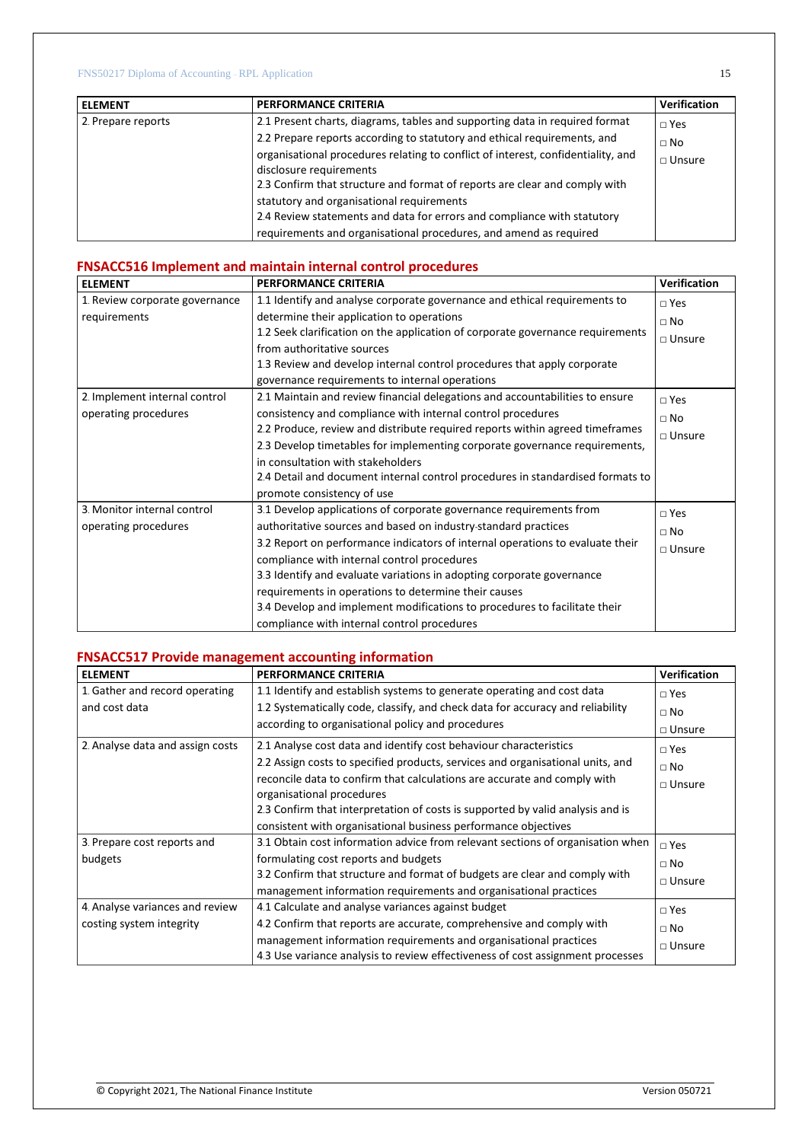| <b>LELEMENT</b>    | PERFORMANCE CRITERIA                                                                                                                                                                      | Verification  |
|--------------------|-------------------------------------------------------------------------------------------------------------------------------------------------------------------------------------------|---------------|
| 2. Prepare reports | 2.1 Present charts, diagrams, tables and supporting data in required format                                                                                                               | $\Box$ Yes    |
|                    | 2.2 Prepare reports according to statutory and ethical requirements, and                                                                                                                  | $\Box$ No     |
|                    | organisational procedures relating to conflict of interest, confidentiality, and<br>disclosure requirements<br>2.3 Confirm that structure and format of reports are clear and comply with | $\Box$ Unsure |
|                    | statutory and organisational requirements<br>2.4 Review statements and data for errors and compliance with statutory<br>requirements and organisational procedures, and amend as required |               |

# **FNSACC516 Implement and maintain internal control procedures**

| <b>ELEMENT</b>                 | <b>PERFORMANCE CRITERIA</b>                                                    | <b>Verification</b> |
|--------------------------------|--------------------------------------------------------------------------------|---------------------|
| 1. Review corporate governance | 1.1 Identify and analyse corporate governance and ethical requirements to      | $\Box$ Yes          |
| requirements                   | determine their application to operations                                      | $\Box$ No           |
|                                | 1.2 Seek clarification on the application of corporate governance requirements | $\Box$ Unsure       |
|                                | from authoritative sources                                                     |                     |
|                                | 1.3 Review and develop internal control procedures that apply corporate        |                     |
|                                | governance requirements to internal operations                                 |                     |
| 2. Implement internal control  | 2.1 Maintain and review financial delegations and accountabilities to ensure   | $\Box$ Yes          |
| operating procedures           | consistency and compliance with internal control procedures                    | $\Box$ No           |
|                                | 2.2 Produce, review and distribute required reports within agreed timeframes   | $\Box$ Unsure       |
|                                | 2.3 Develop timetables for implementing corporate governance requirements,     |                     |
|                                | in consultation with stakeholders                                              |                     |
|                                | 2.4 Detail and document internal control procedures in standardised formats to |                     |
|                                | promote consistency of use                                                     |                     |
| 3. Monitor internal control    | 3.1 Develop applications of corporate governance requirements from             | $\Box$ Yes          |
| operating procedures           | authoritative sources and based on industry-standard practices                 | $\Box$ No           |
|                                | 3.2 Report on performance indicators of internal operations to evaluate their  | $\Box$ Unsure       |
|                                | compliance with internal control procedures                                    |                     |
|                                | 3.3 Identify and evaluate variations in adopting corporate governance          |                     |
|                                | requirements in operations to determine their causes                           |                     |
|                                | 3.4 Develop and implement modifications to procedures to facilitate their      |                     |
|                                | compliance with internal control procedures                                    |                     |

# **FNSACC517 Provide management accounting information**

| <b>ELEMENT</b>                   | <b>PERFORMANCE CRITERIA</b>                                                                           | <b>Verification</b> |
|----------------------------------|-------------------------------------------------------------------------------------------------------|---------------------|
| 1. Gather and record operating   | 1.1 Identify and establish systems to generate operating and cost data                                | $\Box$ Yes          |
| and cost data                    | 1.2 Systematically code, classify, and check data for accuracy and reliability                        | $\sqcap$ No         |
|                                  | according to organisational policy and procedures                                                     | $\Box$ Unsure       |
| 2. Analyse data and assign costs | 2.1 Analyse cost data and identify cost behaviour characteristics                                     | $\sqcap$ Yes        |
|                                  | 2.2 Assign costs to specified products, services and organisational units, and                        | $\sqcap$ No         |
|                                  | reconcile data to confirm that calculations are accurate and comply with<br>organisational procedures | $\square$ Unsure    |
|                                  | 2.3 Confirm that interpretation of costs is supported by valid analysis and is                        |                     |
|                                  | consistent with organisational business performance objectives                                        |                     |
| 3. Prepare cost reports and      | 3.1 Obtain cost information advice from relevant sections of organisation when                        | $\Box$ Yes          |
| budgets                          | formulating cost reports and budgets                                                                  | $\Box$ No           |
|                                  | 3.2 Confirm that structure and format of budgets are clear and comply with                            | $\Box$ Unsure       |
|                                  | management information requirements and organisational practices                                      |                     |
| 4. Analyse variances and review  | 4.1 Calculate and analyse variances against budget                                                    | $\Box$ Yes          |
| costing system integrity         | 4.2 Confirm that reports are accurate, comprehensive and comply with                                  | $\Box$ No           |
|                                  | management information requirements and organisational practices                                      | $\Box$ Unsure       |
|                                  | 4.3 Use variance analysis to review effectiveness of cost assignment processes                        |                     |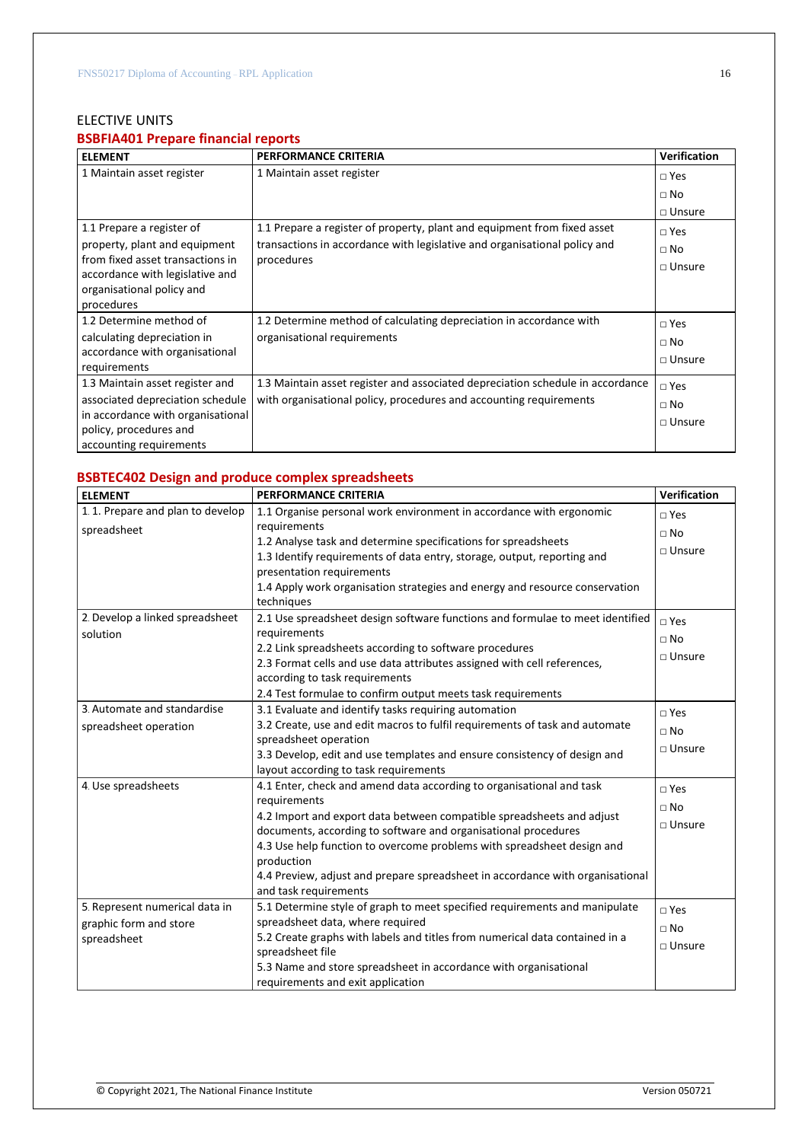# ELECTIVE UNITS

# **BSBFIA401 Prepare financial reports**

| <b>ELEMENT</b>                                               | <b>PERFORMANCE CRITERIA</b>                                                    | <b>Verification</b> |
|--------------------------------------------------------------|--------------------------------------------------------------------------------|---------------------|
| 1 Maintain asset register                                    | 1 Maintain asset register                                                      | $\square$ Yes       |
|                                                              |                                                                                | $\Box$ No           |
|                                                              |                                                                                | $\Box$ Unsure       |
| 1.1 Prepare a register of                                    | 1.1 Prepare a register of property, plant and equipment from fixed asset       | $\square$ Yes       |
| property, plant and equipment                                | transactions in accordance with legislative and organisational policy and      | $\Box$ No           |
| from fixed asset transactions in                             | procedures                                                                     | $\Box$ Unsure       |
| accordance with legislative and<br>organisational policy and |                                                                                |                     |
| procedures                                                   |                                                                                |                     |
| 1.2 Determine method of                                      | 1.2 Determine method of calculating depreciation in accordance with            | $\square$ Yes       |
| calculating depreciation in                                  | organisational requirements                                                    | $\Box$ No           |
| accordance with organisational                               |                                                                                | $\Box$ Unsure       |
| requirements                                                 |                                                                                |                     |
| 1.3 Maintain asset register and                              | 1.3 Maintain asset register and associated depreciation schedule in accordance | $\square$ Yes       |
| associated depreciation schedule                             | with organisational policy, procedures and accounting requirements             | $\Box$ No           |
| in accordance with organisational                            |                                                                                | $\Box$ Unsure       |
| policy, procedures and                                       |                                                                                |                     |
| accounting requirements                                      |                                                                                |                     |

# **BSBTEC402 Design and produce complex spreadsheets**

| <b>ELEMENT</b>                   | <b>PERFORMANCE CRITERIA</b>                                                   | Verification     |
|----------------------------------|-------------------------------------------------------------------------------|------------------|
| 1.1. Prepare and plan to develop | 1.1 Organise personal work environment in accordance with ergonomic           | $\square$ Yes    |
| spreadsheet                      | requirements                                                                  | $\Box$ No        |
|                                  | 1.2 Analyse task and determine specifications for spreadsheets                |                  |
|                                  | 1.3 Identify requirements of data entry, storage, output, reporting and       | $\square$ Unsure |
|                                  | presentation requirements                                                     |                  |
|                                  | 1.4 Apply work organisation strategies and energy and resource conservation   |                  |
|                                  | techniques                                                                    |                  |
| 2. Develop a linked spreadsheet  | 2.1 Use spreadsheet design software functions and formulae to meet identified | $\sqcap$ Yes     |
| solution                         | requirements                                                                  | $\Box$ No        |
|                                  | 2.2 Link spreadsheets according to software procedures                        |                  |
|                                  | 2.3 Format cells and use data attributes assigned with cell references,       | $\Box$ Unsure    |
|                                  | according to task requirements                                                |                  |
|                                  | 2.4 Test formulae to confirm output meets task requirements                   |                  |
| 3. Automate and standardise      | 3.1 Evaluate and identify tasks requiring automation                          | $\Box$ Yes       |
| spreadsheet operation            | 3.2 Create, use and edit macros to fulfil requirements of task and automate   | $\Box$ No        |
|                                  | spreadsheet operation                                                         |                  |
|                                  | 3.3 Develop, edit and use templates and ensure consistency of design and      | □ Unsure         |
|                                  | layout according to task requirements                                         |                  |
| 4. Use spreadsheets              | 4.1 Enter, check and amend data according to organisational and task          | $\square$ Yes    |
|                                  | requirements                                                                  | $\Box$ No        |
|                                  | 4.2 Import and export data between compatible spreadsheets and adjust         | $\square$ Unsure |
|                                  | documents, according to software and organisational procedures                |                  |
|                                  | 4.3 Use help function to overcome problems with spreadsheet design and        |                  |
|                                  | production                                                                    |                  |
|                                  | 4.4 Preview, adjust and prepare spreadsheet in accordance with organisational |                  |
|                                  | and task requirements                                                         |                  |
| 5. Represent numerical data in   | 5.1 Determine style of graph to meet specified requirements and manipulate    | $\square$ Yes    |
| graphic form and store           | spreadsheet data, where required                                              | $\Box$ No        |
| spreadsheet                      | 5.2 Create graphs with labels and titles from numerical data contained in a   | $\square$ Unsure |
|                                  | spreadsheet file                                                              |                  |
|                                  | 5.3 Name and store spreadsheet in accordance with organisational              |                  |
|                                  | requirements and exit application                                             |                  |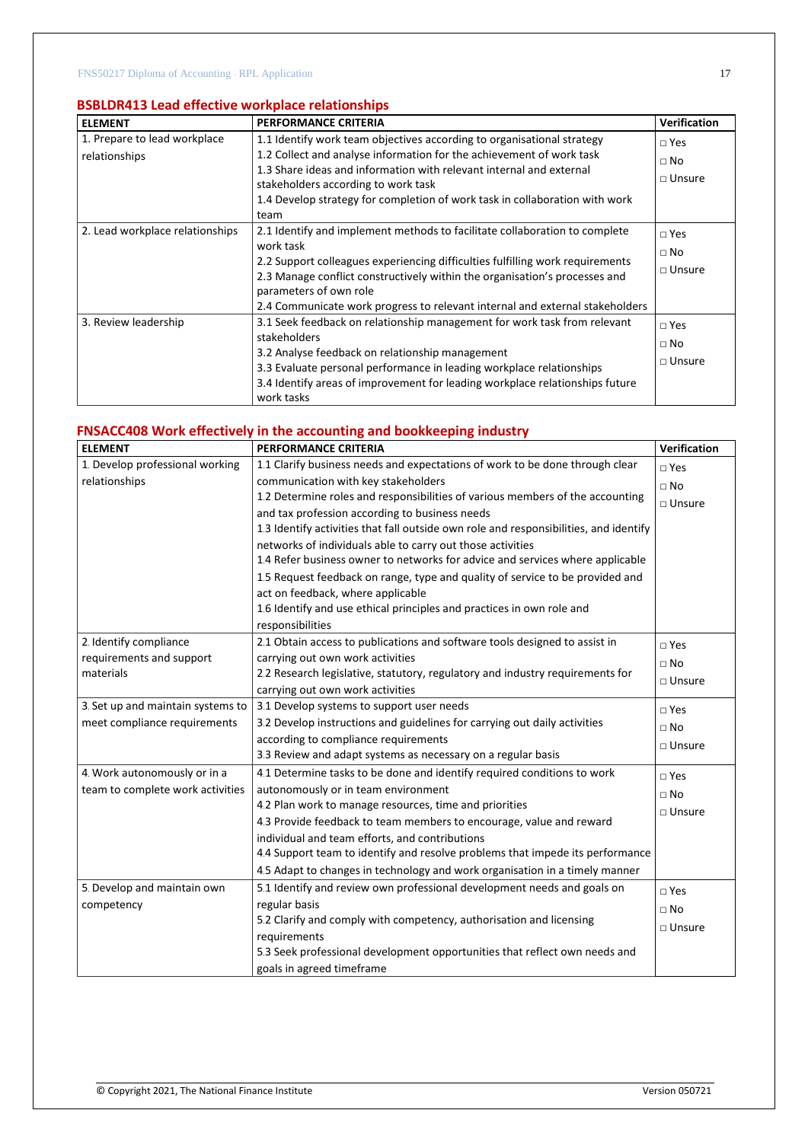# **BSBLDR413 Lead effective workplace relationships**

| <b>ELEMENT</b>                  | PERFORMANCE CRITERIA                                                                                                                                                                                                                                                                                                                                             | <b>Verification</b>                           |
|---------------------------------|------------------------------------------------------------------------------------------------------------------------------------------------------------------------------------------------------------------------------------------------------------------------------------------------------------------------------------------------------------------|-----------------------------------------------|
| 1. Prepare to lead workplace    | 1.1 Identify work team objectives according to organisational strategy                                                                                                                                                                                                                                                                                           | $\square$ Yes                                 |
| relationships                   | 1.2 Collect and analyse information for the achievement of work task<br>1.3 Share ideas and information with relevant internal and external<br>stakeholders according to work task<br>1.4 Develop strategy for completion of work task in collaboration with work<br>team                                                                                        | $\sqcap$ No<br>$\Box$ Unsure                  |
| 2. Lead workplace relationships | 2.1 Identify and implement methods to facilitate collaboration to complete<br>work task<br>2.2 Support colleagues experiencing difficulties fulfilling work requirements<br>2.3 Manage conflict constructively within the organisation's processes and<br>parameters of own role<br>2.4 Communicate work progress to relevant internal and external stakeholders | $\square$ Yes<br>$\sqcap$ No<br>$\Box$ Unsure |
| 3. Review leadership            | 3.1 Seek feedback on relationship management for work task from relevant<br>stakeholders<br>3.2 Analyse feedback on relationship management<br>3.3 Evaluate personal performance in leading workplace relationships<br>3.4 Identify areas of improvement for leading workplace relationships future<br>work tasks                                                | $\square$ Yes<br>$\Box$ No<br>$\Box$ Unsure   |

# **FNSACC408 Work effectively in the accounting and bookkeeping industry**

| <b>ELEMENT</b>                    | <b>PERFORMANCE CRITERIA</b>                                                           | Verification     |
|-----------------------------------|---------------------------------------------------------------------------------------|------------------|
| 1. Develop professional working   | 1.1 Clarify business needs and expectations of work to be done through clear          | $\square$ Yes    |
| relationships                     | communication with key stakeholders                                                   | $\Box$ No        |
|                                   | 1.2 Determine roles and responsibilities of various members of the accounting         | $\square$ Unsure |
|                                   | and tax profession according to business needs                                        |                  |
|                                   | 1.3 Identify activities that fall outside own role and responsibilities, and identify |                  |
|                                   | networks of individuals able to carry out those activities                            |                  |
|                                   | 1.4 Refer business owner to networks for advice and services where applicable         |                  |
|                                   | 1.5 Request feedback on range, type and quality of service to be provided and         |                  |
|                                   | act on feedback, where applicable                                                     |                  |
|                                   | 1.6 Identify and use ethical principles and practices in own role and                 |                  |
|                                   | responsibilities                                                                      |                  |
| 2. Identify compliance            | 2.1 Obtain access to publications and software tools designed to assist in            | $\square$ Yes    |
| requirements and support          | carrying out own work activities                                                      | $\square$ No     |
| materials                         | 2.2 Research legislative, statutory, regulatory and industry requirements for         | $\square$ Unsure |
|                                   | carrying out own work activities                                                      |                  |
| 3. Set up and maintain systems to | 3.1 Develop systems to support user needs                                             | $\Box$ Yes       |
| meet compliance requirements      | 3.2 Develop instructions and guidelines for carrying out daily activities             | $\Box$ No        |
|                                   | according to compliance requirements                                                  | $\square$ Unsure |
|                                   | 3.3 Review and adapt systems as necessary on a regular basis                          |                  |
| 4. Work autonomously or in a      | 4.1 Determine tasks to be done and identify required conditions to work               | $\sqcap$ Yes     |
| team to complete work activities  | autonomously or in team environment                                                   | $\Box$ No        |
|                                   | 4.2 Plan work to manage resources, time and priorities                                | $\square$ Unsure |
|                                   | 4.3 Provide feedback to team members to encourage, value and reward                   |                  |
|                                   | individual and team efforts, and contributions                                        |                  |
|                                   | 4.4 Support team to identify and resolve problems that impede its performance         |                  |
|                                   | 4.5 Adapt to changes in technology and work organisation in a timely manner           |                  |
| 5. Develop and maintain own       | 5.1 Identify and review own professional development needs and goals on               | $\square$ Yes    |
| competency                        | regular basis                                                                         | $\Box$ No        |
|                                   | 5.2 Clarify and comply with competency, authorisation and licensing                   | $\square$ Unsure |
|                                   | requirements                                                                          |                  |
|                                   | 5.3 Seek professional development opportunities that reflect own needs and            |                  |
|                                   | goals in agreed timeframe                                                             |                  |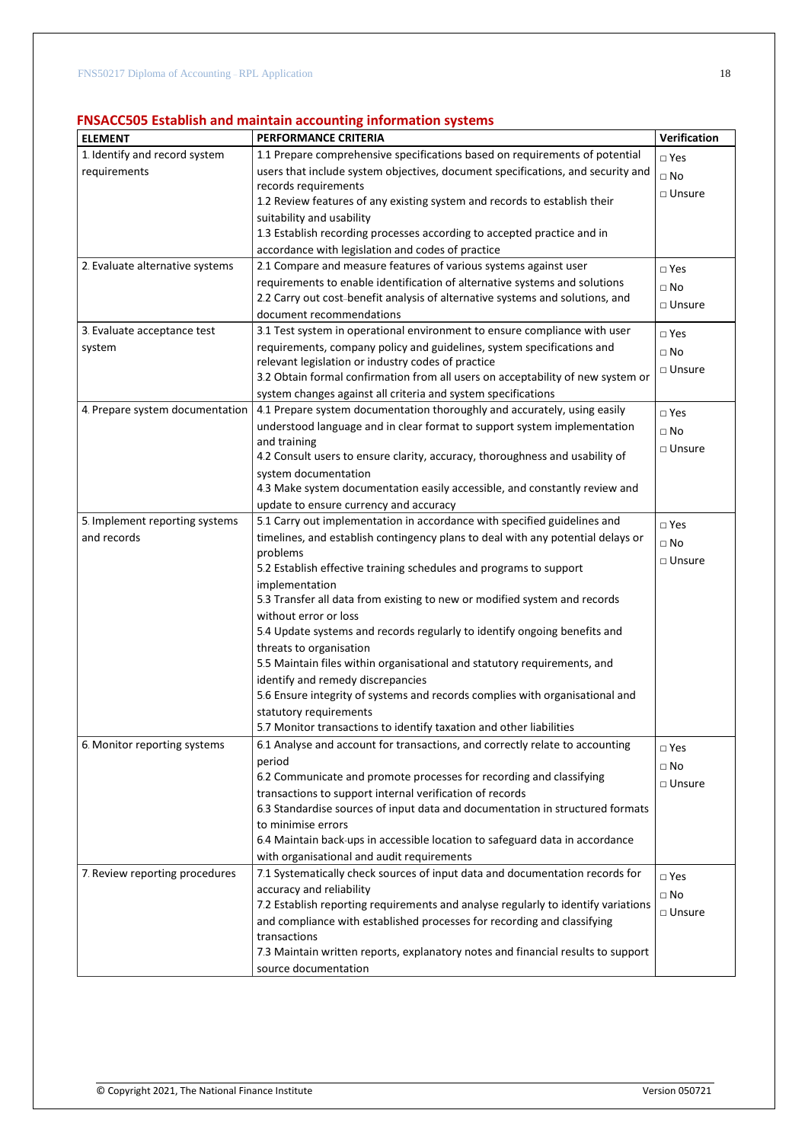# **FNSACC505 Establish and maintain accounting information systems**

| <b>ELEMENT</b>                  | <b>PERFORMANCE CRITERIA</b>                                                       | <b>Verification</b> |
|---------------------------------|-----------------------------------------------------------------------------------|---------------------|
| 1. Identify and record system   | 1.1 Prepare comprehensive specifications based on requirements of potential       | $\square$ Yes       |
| requirements                    | users that include system objectives, document specifications, and security and   | $\square$ No        |
|                                 | records requirements                                                              | □ Unsure            |
|                                 | 1.2 Review features of any existing system and records to establish their         |                     |
|                                 | suitability and usability                                                         |                     |
|                                 | 1.3 Establish recording processes according to accepted practice and in           |                     |
|                                 | accordance with legislation and codes of practice                                 |                     |
| 2. Evaluate alternative systems | 2.1 Compare and measure features of various systems against user                  | $\square$ Yes       |
|                                 | requirements to enable identification of alternative systems and solutions        | $\square$ No        |
|                                 | 2.2 Carry out cost-benefit analysis of alternative systems and solutions, and     | □ Unsure            |
|                                 | document recommendations                                                          |                     |
| 3. Evaluate acceptance test     | 3.1 Test system in operational environment to ensure compliance with user         | $\square$ Yes       |
| system                          | requirements, company policy and guidelines, system specifications and            | $\Box$ No           |
|                                 | relevant legislation or industry codes of practice                                |                     |
|                                 | 3.2 Obtain formal confirmation from all users on acceptability of new system or   | □ Unsure            |
|                                 | system changes against all criteria and system specifications                     |                     |
| 4. Prepare system documentation | 4.1 Prepare system documentation thoroughly and accurately, using easily          | $\square$ Yes       |
|                                 | understood language and in clear format to support system implementation          | $\Box$ No           |
|                                 | and training                                                                      |                     |
|                                 | 4.2 Consult users to ensure clarity, accuracy, thoroughness and usability of      | □ Unsure            |
|                                 | system documentation                                                              |                     |
|                                 | 4.3 Make system documentation easily accessible, and constantly review and        |                     |
|                                 | update to ensure currency and accuracy                                            |                     |
| 5. Implement reporting systems  | 5.1 Carry out implementation in accordance with specified guidelines and          | $\square$ Yes       |
| and records                     | timelines, and establish contingency plans to deal with any potential delays or   | $\Box$ No           |
|                                 | problems                                                                          |                     |
|                                 | 5.2 Establish effective training schedules and programs to support                | □ Unsure            |
|                                 | implementation                                                                    |                     |
|                                 | 5.3 Transfer all data from existing to new or modified system and records         |                     |
|                                 | without error or loss                                                             |                     |
|                                 | 5.4 Update systems and records regularly to identify ongoing benefits and         |                     |
|                                 | threats to organisation                                                           |                     |
|                                 | 5.5 Maintain files within organisational and statutory requirements, and          |                     |
|                                 | identify and remedy discrepancies                                                 |                     |
|                                 | 5.6 Ensure integrity of systems and records complies with organisational and      |                     |
|                                 | statutory requirements                                                            |                     |
|                                 | 5.7 Monitor transactions to identify taxation and other liabilities               |                     |
| 6. Monitor reporting systems    | 6.1 Analyse and account for transactions, and correctly relate to accounting      | $\square$ Yes       |
|                                 | period                                                                            | $\Box$ No           |
|                                 | 6.2 Communicate and promote processes for recording and classifying               |                     |
|                                 | transactions to support internal verification of records                          | $\Box$ Unsure       |
|                                 | 6.3 Standardise sources of input data and documentation in structured formats     |                     |
|                                 | to minimise errors                                                                |                     |
|                                 | 6.4 Maintain back-ups in accessible location to safeguard data in accordance      |                     |
|                                 | with organisational and audit requirements                                        |                     |
| 7. Review reporting procedures  | 7.1 Systematically check sources of input data and documentation records for      | $\square$ Yes       |
|                                 | accuracy and reliability                                                          | $\square$ No        |
|                                 | 7.2 Establish reporting requirements and analyse regularly to identify variations |                     |
|                                 | and compliance with established processes for recording and classifying           | $\Box$ Unsure       |
|                                 | transactions                                                                      |                     |
|                                 | 7.3 Maintain written reports, explanatory notes and financial results to support  |                     |
|                                 | source documentation                                                              |                     |